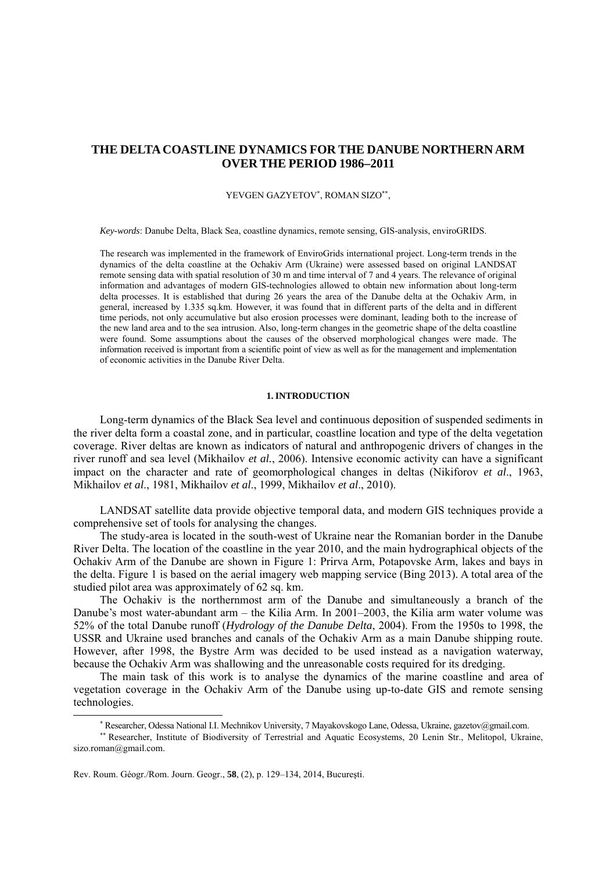# **THE DELTACOASTLINE DYNAMICS FOR THE DANUBE NORTHERN ARM OVER THE PERIOD 1986–2011**

## YEVGEN GAZYETOV<sup>∗</sup> , ROMAN SIZO∗∗,

*Key-words*: Danube Delta, Black Sea, coastline dynamics, remote sensing, GIS-analysis, enviroGRIDS.

The research was implemented in the framework of EnviroGrids international project. Long-term trends in the dynamics of the delta coastline at the Ochakiv Arm (Ukraine) were assessed based on original LANDSAT remote sensing data with spatial resolution of 30 m and time interval of 7 and 4 years. The relevance of original information and advantages of modern GIS-technologies allowed to obtain new information about long-term delta processes. It is established that during 26 years the area of the Danube delta at the Ochakiv Arm, in general, increased by 1.335 sq.km. However, it was found that in different parts of the delta and in different time periods, not only accumulative but also erosion processes were dominant, leading both to the increase of the new land area and to the sea intrusion. Also, long-term changes in the geometric shape of the delta coastline were found. Some assumptions about the causes of the observed morphological changes were made. The information received is important from a scientific point of view as well as for the management and implementation of economic activities in the Danube River Delta.

## **1. INTRODUCTION**

Long-term dynamics of the Black Sea level and continuous deposition of suspended sediments in the river delta form a coastal zone, and in particular, coastline location and type of the delta vegetation coverage. River deltas are known as indicators of natural and anthropogenic drivers of changes in the river runoff and sea level (Mikhailov *et al.*, 2006). Intensive economic activity can have a significant impact on the character and rate of geomorphological changes in deltas (Nikiforov *et al*., 1963, Mikhailov *et al*., 1981, Mikhailov *et al*., 1999, Mikhailov *et al*., 2010).

LANDSAT satellite data provide objective temporal data, and modern GIS techniques provide a comprehensive set of tools for analysing the changes.

The study-area is located in the south-west of Ukraine near the Romanian border in the Danube River Delta. The location of the coastline in the year 2010, and the main hydrographical objects of the Ochakiv Arm of the Danube are shown in Figure 1: Prirva Arm, Potapovske Arm, lakes and bays in the delta. Figure 1 is based on the aerial imagery web mapping service (Bing 2013). A total area of the studied pilot area was approximately of 62 sq. km.

The Ochakiv is the northernmost arm of the Danube and simultaneously a branch of the Danube's most water-abundant arm – the Kilia Arm. In 2001–2003, the Kilia arm water volume was 52% of the total Danube runoff (*Hydrology of the Danube Delta*, 2004). From the 1950s to 1998, the USSR and Ukraine used branches and canals of the Ochakiv Arm as a main Danube shipping route. However, after 1998, the Bystre Arm was decided to be used instead as a navigation waterway, because the Ochakiv Arm was shallowing and the unreasonable costs required for its dredging.

The main task of this work is to analyse the dynamics of the marine coastline and area of vegetation coverage in the Ochakiv Arm of the Danube using up-to-date GIS and remote sensing technologies.

l

<sup>∗</sup> Researcher, Odessa National I.I. Mechnikov University, 7 Mayakovskogo Lane, Odessa, Ukraine, gazetov@gmail.com.

<sup>∗∗</sup> Researcher, Institute of Biodiversity of Terrestrial and Aquatic Ecosystems, 20 Lenin Str., Melitopol, Ukraine, sizo.roman@gmail.com.

Rev. Roum. Géogr./Rom. Journ. Geogr., **58**, (2), p. 129–134, 2014, Bucureşti.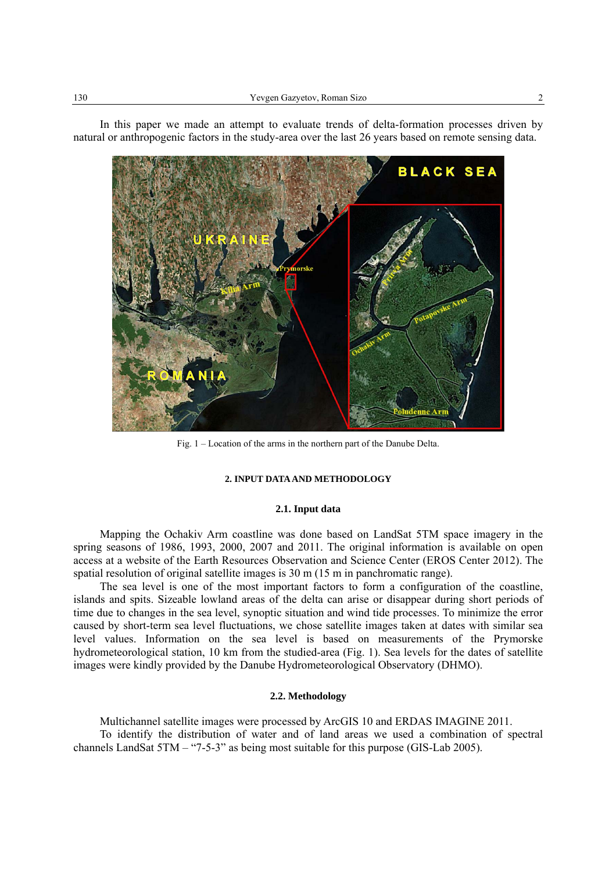

In this paper we made an attempt to evaluate trends of delta-formation processes driven by natural or anthropogenic factors in the study-area over the last 26 years based on remote sensing data.

Fig. 1 – Location of the arms in the northern part of the Danube Delta.

#### **2. INPUT DATA AND METHODOLOGY**

### **2.1. Input data**

Mapping the Ochakiv Arm coastline was done based on LandSat 5TM space imagery in the spring seasons of 1986, 1993, 2000, 2007 and 2011. The original information is available on open access at a website of the Earth Resources Observation and Science Center (EROS Center 2012). The spatial resolution of original satellite images is 30 m (15 m in panchromatic range).

The sea level is one of the most important factors to form a configuration of the coastline, islands and spits. Sizeable lowland areas of the delta can arise or disappear during short periods of time due to changes in the sea level, synoptic situation and wind tide processes. To minimize the error caused by short-term sea level fluctuations, we chose satellite images taken at dates with similar sea level values. Information on the sea level is based on measurements of the Prymorske hydrometeorological station, 10 km from the studied-area (Fig. 1). Sea levels for the dates of satellite images were kindly provided by the Danube Hydrometeorological Observatory (DHMO).

## **2.2. Methodology**

Multichannel satellite images were processed by ArcGIS 10 and ERDAS IMAGINE 2011.

To identify the distribution of water and of land areas we used a combination of spectral channels LandSat 5TM – "7-5-3" as being most suitable for this purpose (GIS-Lab 2005).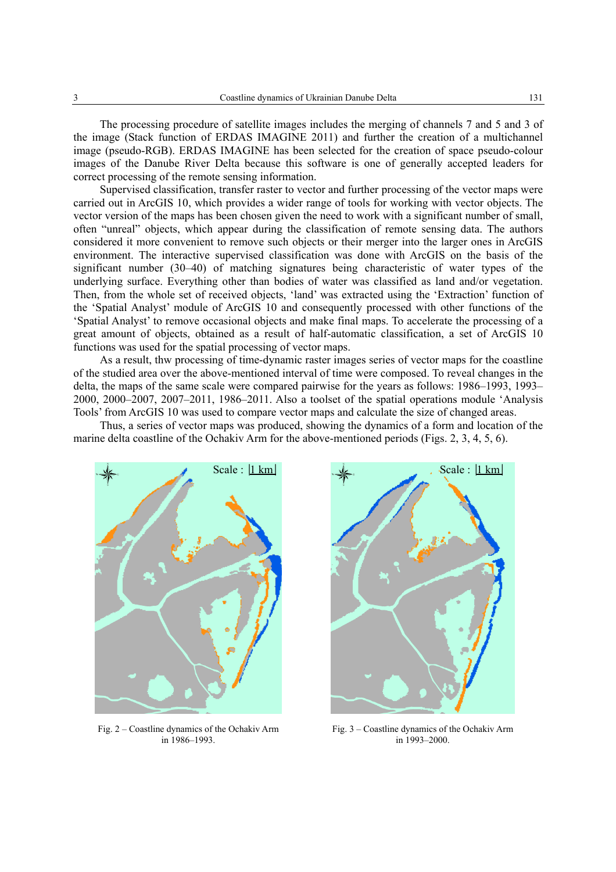The processing procedure of satellite images includes the merging of channels 7 and 5 and 3 of the image (Stack function of ERDAS IMAGINE 2011) and further the creation of a multichannel image (pseudo-RGB). ERDAS IMAGINE has been selected for the creation of space pseudo-colour images of the Danube River Delta because this software is one of generally accepted leaders for correct processing of the remote sensing information.

Supervised classification, transfer raster to vector and further processing of the vector maps were carried out in ArcGIS 10, which provides a wider range of tools for working with vector objects. The vector version of the maps has been chosen given the need to work with a significant number of small, often "unreal" objects, which appear during the classification of remote sensing data. The authors considered it more convenient to remove such objects or their merger into the larger ones in ArcGIS environment. The interactive supervised classification was done with ArcGIS on the basis of the significant number (30–40) of matching signatures being characteristic of water types of the underlying surface. Everything other than bodies of water was classified as land and/or vegetation. Then, from the whole set of received objects, 'land' was extracted using the 'Extraction' function of the 'Spatial Analyst' module of ArcGIS 10 and consequently processed with other functions of the 'Spatial Analyst' to remove occasional objects and make final maps. To accelerate the processing of a great amount of objects, obtained as a result of half-automatic classification, a set of ArcGIS 10 functions was used for the spatial processing of vector maps.

As a result, thw processing of time-dynamic raster images series of vector maps for the coastline of the studied area over the above-mentioned interval of time were composed. To reveal changes in the delta, the maps of the same scale were compared pairwise for the years as follows: 1986–1993, 1993– 2000, 2000–2007, 2007–2011, 1986–2011. Also a toolset of the spatial operations module 'Analysis Tools' from ArcGIS 10 was used to compare vector maps and calculate the size of changed areas.

Thus, a series of vector maps was produced, showing the dynamics of a form and location of the marine delta coastline of the Ochakiv Arm for the above-mentioned periods (Figs. 2, 3, 4, 5, 6).



Fig. 2 – Coastline dynamics of the Ochakiv Arm in 1986–1993.



Fig. 3 – Coastline dynamics of the Ochakiv Arm in 1993–2000.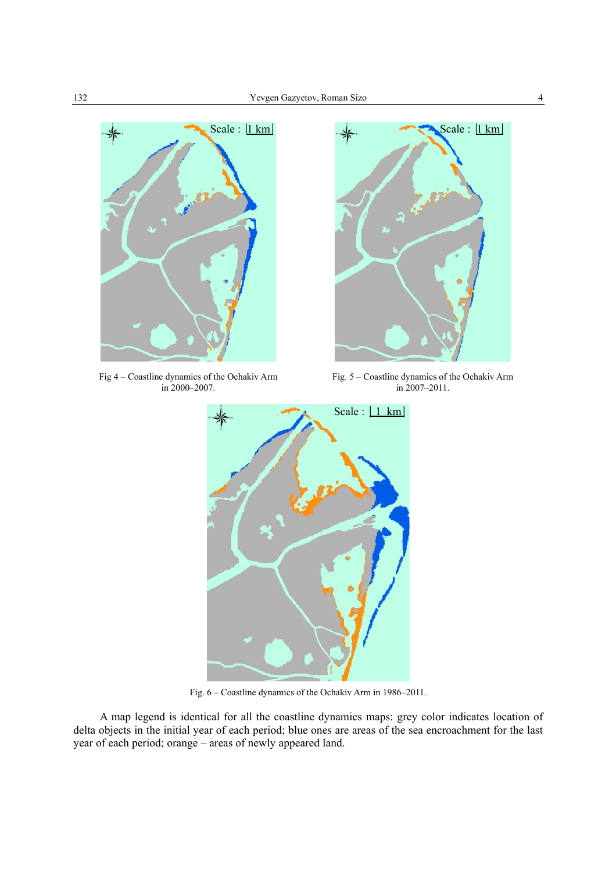

Fig 4 – Coastline dynamics of the Ochakiv Arm in 2000–2007.



Fig. 5 – Coastline dynamics of the Ochakiv Arm in 2007–2011.



Fig. 6 – Coastline dynamics of the Ochakiv Arm in 1986–2011.

A map legend is identical for all the coastline dynamics maps: grey color indicates location of delta objects in the initial year of each period; blue ones are areas of the sea encroachment for the last year of each period; orange – areas of newly appeared land.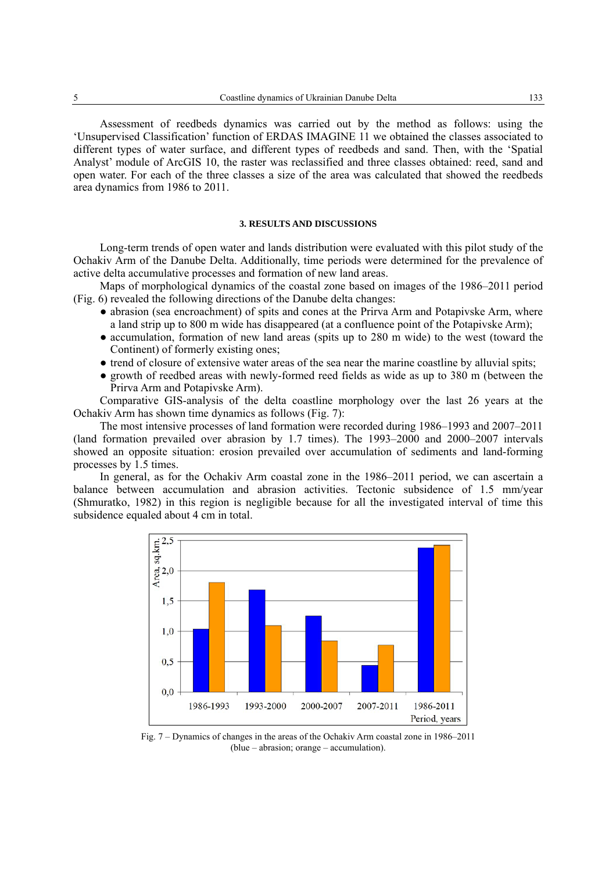Assessment of reedbeds dynamics was carried out by the method as follows: using the 'Unsupervised Classification' function of ERDAS IMAGINE 11 we obtained the classes associated to different types of water surface, and different types of reedbeds and sand. Then, with the 'Spatial Analyst' module of ArcGIS 10, the raster was reclassified and three classes obtained: reed, sand and open water. For each of the three classes a size of the area was calculated that showed the reedbeds area dynamics from 1986 to 2011.

## **3. RESULTS AND DISCUSSIONS**

Long-term trends of open water and lands distribution were evaluated with this pilot study of the Ochakiv Arm of the Danube Delta. Additionally, time periods were determined for the prevalence of active delta accumulative processes and formation of new land areas.

Maps of morphological dynamics of the coastal zone based on images of the 1986–2011 period (Fig. 6) revealed the following directions of the Danube delta changes:

- abrasion (sea encroachment) of spits and cones at the Prirva Arm and Potapivske Arm, where a land strip up to 800 m wide has disappeared (at a confluence point of the Potapivske Arm);
- accumulation, formation of new land areas (spits up to 280 m wide) to the west (toward the Continent) of formerly existing ones;
- trend of closure of extensive water areas of the sea near the marine coastline by alluvial spits;
- growth of reedbed areas with newly-formed reed fields as wide as up to 380 m (between the Prirva Arm and Potapivske Arm).

Comparative GIS-analysis of the delta coastline morphology over the last 26 years at the Ochakiv Arm has shown time dynamics as follows (Fig. 7):

The most intensive processes of land formation were recorded during 1986–1993 and 2007–2011 (land formation prevailed over abrasion by 1.7 times). The 1993–2000 and 2000–2007 intervals showed an opposite situation: erosion prevailed over accumulation of sediments and land-forming processes by 1.5 times.

In general, as for the Ochakiv Arm coastal zone in the 1986–2011 period, we can ascertain a balance between accumulation and abrasion activities. Tectonic subsidence of 1.5 mm/year (Shmuratko, 1982) in this region is negligible because for all the investigated interval of time this subsidence equaled about 4 cm in total.



Fig. 7 – Dynamics of changes in the areas of the Ochakiv Arm coastal zone in 1986–2011 (blue – abrasion; orange – accumulation).